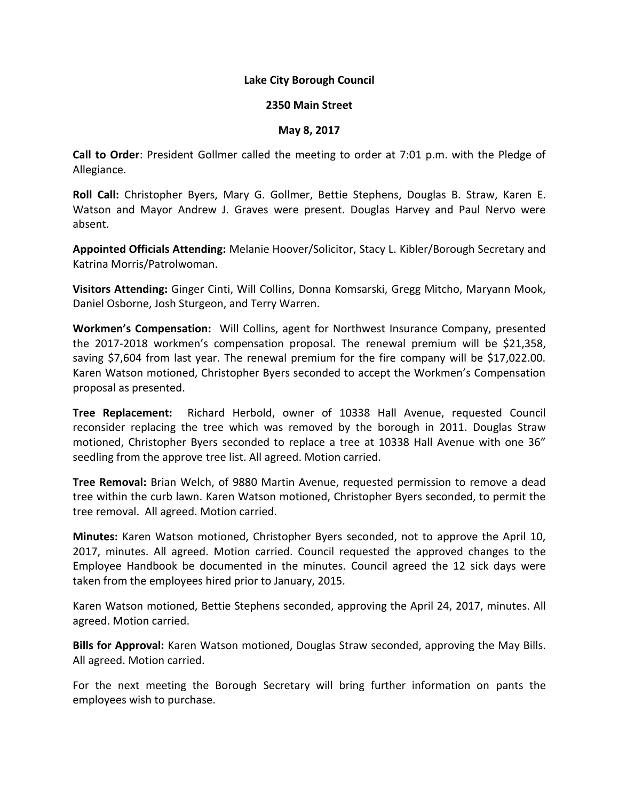## **Lake City Borough Council**

## **2350 Main Street**

## **May 8, 2017**

**Call to Order**: President Gollmer called the meeting to order at 7:01 p.m. with the Pledge of Allegiance.

**Roll Call:** Christopher Byers, Mary G. Gollmer, Bettie Stephens, Douglas B. Straw, Karen E. Watson and Mayor Andrew J. Graves were present. Douglas Harvey and Paul Nervo were absent.

**Appointed Officials Attending:** Melanie Hoover/Solicitor, Stacy L. Kibler/Borough Secretary and Katrina Morris/Patrolwoman.

**Visitors Attending:** Ginger Cinti, Will Collins, Donna Komsarski, Gregg Mitcho, Maryann Mook, Daniel Osborne, Josh Sturgeon, and Terry Warren.

**Workmen's Compensation:** Will Collins, agent for Northwest Insurance Company, presented the 2017-2018 workmen's compensation proposal. The renewal premium will be \$21,358, saving \$7,604 from last year. The renewal premium for the fire company will be \$17,022.00. Karen Watson motioned, Christopher Byers seconded to accept the Workmen's Compensation proposal as presented.

**Tree Replacement:** Richard Herbold, owner of 10338 Hall Avenue, requested Council reconsider replacing the tree which was removed by the borough in 2011. Douglas Straw motioned, Christopher Byers seconded to replace a tree at 10338 Hall Avenue with one 36" seedling from the approve tree list. All agreed. Motion carried.

**Tree Removal:** Brian Welch, of 9880 Martin Avenue, requested permission to remove a dead tree within the curb lawn. Karen Watson motioned, Christopher Byers seconded, to permit the tree removal. All agreed. Motion carried.

**Minutes:** Karen Watson motioned, Christopher Byers seconded, not to approve the April 10, 2017, minutes. All agreed. Motion carried. Council requested the approved changes to the Employee Handbook be documented in the minutes. Council agreed the 12 sick days were taken from the employees hired prior to January, 2015.

Karen Watson motioned, Bettie Stephens seconded, approving the April 24, 2017, minutes. All agreed. Motion carried.

**Bills for Approval:** Karen Watson motioned, Douglas Straw seconded, approving the May Bills. All agreed. Motion carried.

For the next meeting the Borough Secretary will bring further information on pants the employees wish to purchase.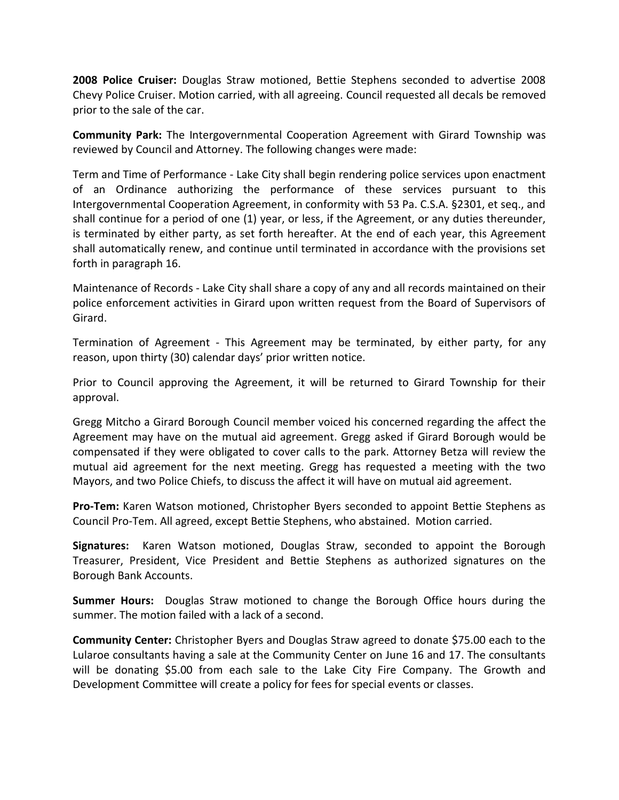**2008 Police Cruiser:** Douglas Straw motioned, Bettie Stephens seconded to advertise 2008 Chevy Police Cruiser. Motion carried, with all agreeing. Council requested all decals be removed prior to the sale of the car.

**Community Park:** The Intergovernmental Cooperation Agreement with Girard Township was reviewed by Council and Attorney. The following changes were made:

Term and Time of Performance - Lake City shall begin rendering police services upon enactment of an Ordinance authorizing the performance of these services pursuant to this Intergovernmental Cooperation Agreement, in conformity with 53 Pa. C.S.A. §2301, et seq., and shall continue for a period of one (1) year, or less, if the Agreement, or any duties thereunder, is terminated by either party, as set forth hereafter. At the end of each year, this Agreement shall automatically renew, and continue until terminated in accordance with the provisions set forth in paragraph 16.

Maintenance of Records - Lake City shall share a copy of any and all records maintained on their police enforcement activities in Girard upon written request from the Board of Supervisors of Girard.

Termination of Agreement - This Agreement may be terminated, by either party, for any reason, upon thirty (30) calendar days' prior written notice.

Prior to Council approving the Agreement, it will be returned to Girard Township for their approval.

Gregg Mitcho a Girard Borough Council member voiced his concerned regarding the affect the Agreement may have on the mutual aid agreement. Gregg asked if Girard Borough would be compensated if they were obligated to cover calls to the park. Attorney Betza will review the mutual aid agreement for the next meeting. Gregg has requested a meeting with the two Mayors, and two Police Chiefs, to discuss the affect it will have on mutual aid agreement.

**Pro-Tem:** Karen Watson motioned, Christopher Byers seconded to appoint Bettie Stephens as Council Pro-Tem. All agreed, except Bettie Stephens, who abstained. Motion carried.

**Signatures:** Karen Watson motioned, Douglas Straw, seconded to appoint the Borough Treasurer, President, Vice President and Bettie Stephens as authorized signatures on the Borough Bank Accounts.

**Summer Hours:** Douglas Straw motioned to change the Borough Office hours during the summer. The motion failed with a lack of a second.

**Community Center:** Christopher Byers and Douglas Straw agreed to donate \$75.00 each to the Lularoe consultants having a sale at the Community Center on June 16 and 17. The consultants will be donating \$5.00 from each sale to the Lake City Fire Company. The Growth and Development Committee will create a policy for fees for special events or classes.